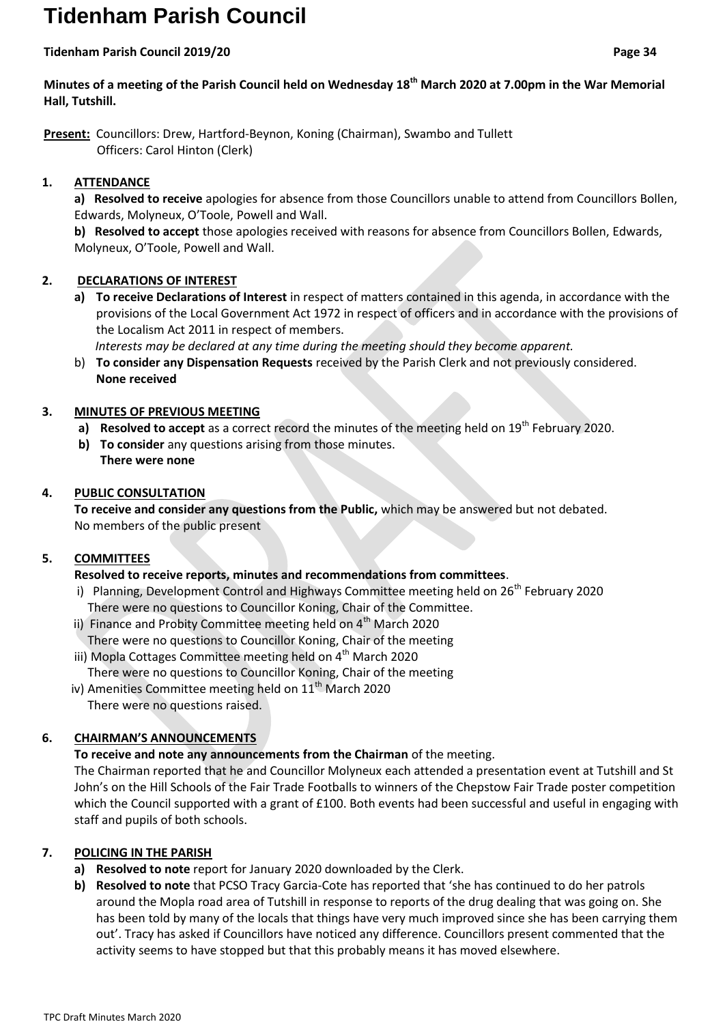# **Tidenham Parish Council**

#### **Tidenham Parish Council 2019/20 Page 34**

**Minutes of a meeting of the Parish Council held on Wednesday 18th March 2020 at 7.00pm in the War Memorial Hall, Tutshill.**

**Present:** Councillors: Drew, Hartford-Beynon, Koning (Chairman), Swambo and Tullett Officers: Carol Hinton (Clerk)

# **1. ATTENDANCE**

**a) Resolved to receive** apologies for absence from those Councillors unable to attend from Councillors Bollen, Edwards, Molyneux, O'Toole, Powell and Wall.

**b) Resolved to accept** those apologies received with reasons for absence from Councillors Bollen, Edwards, Molyneux, O'Toole, Powell and Wall.

# **2. DECLARATIONS OF INTEREST**

**a) To receive Declarations of Interest** in respect of matters contained in this agenda, in accordance with the provisions of the Local Government Act 1972 in respect of officers and in accordance with the provisions of the Localism Act 2011 in respect of members.

 *Interests may be declared at any time during the meeting should they become apparent.*

b) **To consider any Dispensation Requests** received by the Parish Clerk and not previously considered. **None received**

# **3. MINUTES OF PREVIOUS MEETING**

- **a) Resolved to accept** as a correct record the minutes of the meeting held on 19<sup>th</sup> February 2020.
- **b) To consider** any questions arising from those minutes. **There were none**

# **4. PUBLIC CONSULTATION**

**To receive and consider any questions from the Public,** which may be answered but not debated. No members of the public present

# **5. COMMITTEES**

# **Resolved to receive reports, minutes and recommendations from committees**.

- i) Planning, Development Control and Highways Committee meeting held on 26<sup>th</sup> February 2020 There were no questions to Councillor Koning, Chair of the Committee.
- ii) Finance and Probity Committee meeting held on 4<sup>th</sup> March 2020 There were no questions to Councillor Koning, Chair of the meeting
- iii) Mopla Cottages Committee meeting held on 4<sup>th</sup> March 2020 There were no questions to Councillor Koning, Chair of the meeting
- iv) Amenities Committee meeting held on  $11<sup>th</sup>$  March 2020 There were no questions raised.

# **6. CHAIRMAN'S ANNOUNCEMENTS**

**To receive and note any announcements from the Chairman** of the meeting.

The Chairman reported that he and Councillor Molyneux each attended a presentation event at Tutshill and St John's on the Hill Schools of the Fair Trade Footballs to winners of the Chepstow Fair Trade poster competition which the Council supported with a grant of £100. Both events had been successful and useful in engaging with staff and pupils of both schools.

# **7. POLICING IN THE PARISH**

- **a) Resolved to note** report for January 2020 downloaded by the Clerk.
- **b) Resolved to note** that PCSO Tracy Garcia-Cote has reported that 'she has continued to do her patrols around the Mopla road area of Tutshill in response to reports of the drug dealing that was going on. She has been told by many of the locals that things have very much improved since she has been carrying them out'. Tracy has asked if Councillors have noticed any difference. Councillors present commented that the activity seems to have stopped but that this probably means it has moved elsewhere.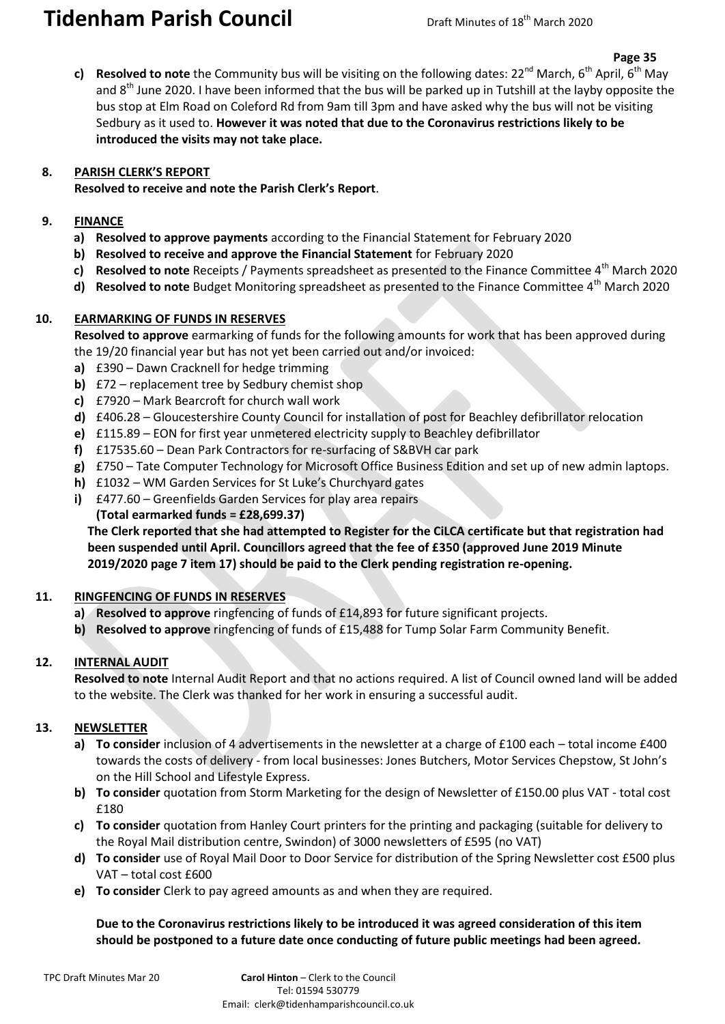# **Tidenham Parish Council** Draft Minutes of 18<sup>th</sup> March 2020

**c) Resolved to note** the Community bus will be visiting on the following dates: 22<sup>nd</sup> March, 6<sup>th</sup> April, 6<sup>th</sup> May and  $8<sup>th</sup>$  June 2020. I have been informed that the bus will be parked up in Tutshill at the layby opposite the bus stop at Elm Road on Coleford Rd from 9am till 3pm and have asked why the bus will not be visiting Sedbury as it used to. **However it was noted that due to the Coronavirus restrictions likely to be introduced the visits may not take place.**

#### **8. PARISH CLERK'S REPORT**

**Resolved to receive and note the Parish Clerk's Report**.

#### **9. FINANCE**

- **a) Resolved to approve payments** according to the Financial Statement for February 2020
- **b) Resolved to receive and approve the Financial Statement** for February 2020
- **c)** Resolved to note Receipts / Payments spreadsheet as presented to the Finance Committee 4<sup>th</sup> March 2020
- **d)** Resolved to note Budget Monitoring spreadsheet as presented to the Finance Committee 4<sup>th</sup> March 2020

### **10. EARMARKING OF FUNDS IN RESERVES**

**Resolved to approve** earmarking of funds for the following amounts for work that has been approved during the 19/20 financial year but has not yet been carried out and/or invoiced:

- **a)** £390 Dawn Cracknell for hedge trimming
- **b)** £72 replacement tree by Sedbury chemist shop
- **c)** £7920 Mark Bearcroft for church wall work
- **d)** £406.28 Gloucestershire County Council for installation of post for Beachley defibrillator relocation
- **e)** £115.89 EON for first year unmetered electricity supply to Beachley defibrillator
- **f)** £17535.60 Dean Park Contractors for re-surfacing of S&BVH car park
- **g)** £750 Tate Computer Technology for Microsoft Office Business Edition and set up of new admin laptops.
- **h)** £1032 WM Garden Services for St Luke's Churchyard gates
- **i)** £477.60 Greenfields Garden Services for play area repairs **(Total earmarked funds = £28,699.37)**

**The Clerk reported that she had attempted to Register for the CiLCA certificate but that registration had been suspended until April. Councillors agreed that the fee of £350 (approved June 2019 Minute 2019/2020 page 7 item 17) should be paid to the Clerk pending registration re-opening.**

# **11. RINGFENCING OF FUNDS IN RESERVES**

- **a) Resolved to approve** ringfencing of funds of £14,893 for future significant projects.
- **b) Resolved to approve** ringfencing of funds of £15,488 for Tump Solar Farm Community Benefit.

# **12. INTERNAL AUDIT**

**Resolved to note** Internal Audit Report and that no actions required. A list of Council owned land will be added to the website. The Clerk was thanked for her work in ensuring a successful audit.

# **13. NEWSLETTER**

- **a) To consider** inclusion of 4 advertisements in the newsletter at a charge of £100 each total income £400 towards the costs of delivery - from local businesses: Jones Butchers, Motor Services Chepstow, St John's on the Hill School and Lifestyle Express.
- **b) To consider** quotation from Storm Marketing for the design of Newsletter of £150.00 plus VAT total cost £180
- **c) To consider** quotation from Hanley Court printers for the printing and packaging (suitable for delivery to the Royal Mail distribution centre, Swindon) of 3000 newsletters of £595 (no VAT)
- **d) To consider** use of Royal Mail Door to Door Service for distribution of the Spring Newsletter cost £500 plus VAT – total cost £600
- **e) To consider** Clerk to pay agreed amounts as and when they are required.

### **Due to the Coronavirus restrictions likely to be introduced it was agreed consideration of this item should be postponed to a future date once conducting of future public meetings had been agreed.**